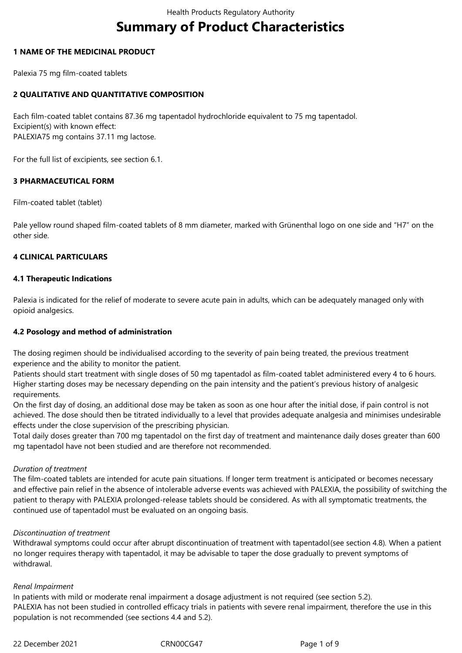# **Summary of Product Characteristics**

# **1 NAME OF THE MEDICINAL PRODUCT**

Palexia 75 mg film-coated tablets

# **2 QUALITATIVE AND QUANTITATIVE COMPOSITION**

Each film-coated tablet contains 87.36 mg tapentadol hydrochloride equivalent to 75 mg tapentadol. Excipient(s) with known effect: PALEXIA75 mg contains 37.11 mg lactose.

For the full list of excipients, see section 6.1.

### **3 PHARMACEUTICAL FORM**

Film-coated tablet (tablet)

Pale yellow round shaped film-coated tablets of 8 mm diameter, marked with Grünenthal logo on one side and "H7" on the other side.

### **4 CLINICAL PARTICULARS**

### **4.1 Therapeutic Indications**

Palexia is indicated for the relief of moderate to severe acute pain in adults, which can be adequately managed only with opioid analgesics.

### **4.2 Posology and method of administration**

The dosing regimen should be individualised according to the severity of pain being treated, the previous treatment experience and the ability to monitor the patient.

Patients should start treatment with single doses of 50 mg tapentadol as film-coated tablet administered every 4 to 6 hours. Higher starting doses may be necessary depending on the pain intensity and the patient's previous history of analgesic requirements.

On the first day of dosing, an additional dose may be taken as soon as one hour after the initial dose, if pain control is not achieved. The dose should then be titrated individually to a level that provides adequate analgesia and minimises undesirable effects under the close supervision of the prescribing physician.

Total daily doses greater than 700 mg tapentadol on the first day of treatment and maintenance daily doses greater than 600 mg tapentadol have not been studied and are therefore not recommended.

### *Duration of treatment*

The film-coated tablets are intended for acute pain situations. If longer term treatment is anticipated or becomes necessary and effective pain relief in the absence of intolerable adverse events was achieved with PALEXIA, the possibility of switching the patient to therapy with PALEXIA prolonged-release tablets should be considered. As with all symptomatic treatments, the continued use of tapentadol must be evaluated on an ongoing basis.

### *Discontinuation of treatment*

Withdrawal symptoms could occur after abrupt discontinuation of treatment with tapentadol(see section 4.8)*.* When a patient no longer requires therapy with tapentadol, it may be advisable to taper the dose gradually to prevent symptoms of withdrawal.

### *Renal Impairment*

In patients with mild or moderate renal impairment a dosage adjustment is not required (see section 5.2). PALEXIA has not been studied in controlled efficacy trials in patients with severe renal impairment, therefore the use in this population is not recommended (see sections 4.4 and 5.2).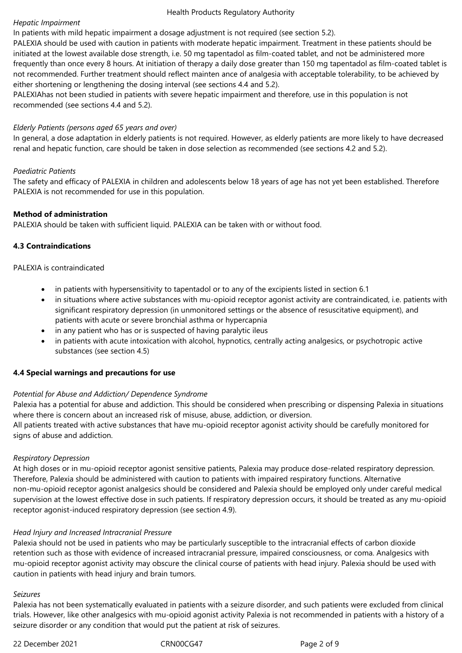### *Hepatic Impairment*

In patients with mild hepatic impairment a dosage adjustment is not required (see section 5.2).

PALEXIA should be used with caution in patients with moderate hepatic impairment. Treatment in these patients should be initiated at the lowest available dose strength, i.e. 50 mg tapentadol as film-coated tablet, and not be administered more frequently than once every 8 hours. At initiation of therapy a daily dose greater than 150 mg tapentadol as film-coated tablet is not recommended. Further treatment should reflect mainten ance of analgesia with acceptable tolerability, to be achieved by either shortening or lengthening the dosing interval (see sections 4.4 and 5.2).

PALEXIAhas not been studied in patients with severe hepatic impairment and therefore, use in this population is not recommended (see sections 4.4 and 5.2).

### *Elderly Patients (persons aged 65 years and over)*

In general, a dose adaptation in elderly patients is not required. However, as elderly patients are more likely to have decreased renal and hepatic function, care should be taken in dose selection as recommended (see sections 4.2 and 5.2).

### *Paediatric Patients*

The safety and efficacy of PALEXIA in children and adolescents below 18 years of age has not yet been established. Therefore PALEXIA is not recommended for use in this population.

### **Method of administration**

PALEXIA should be taken with sufficient liquid. PALEXIA can be taken with or without food.

### **4.3 Contraindications**

### PALEXIA is contraindicated

- in patients with hypersensitivity to tapentadol or to any of the excipients listed in section 6.1
- in situations where active substances with mu-opioid receptor agonist activity are contraindicated, i.e. patients with significant respiratory depression (in unmonitored settings or the absence of resuscitative equipment), and patients with acute or severe bronchial asthma or hypercapnia
- in any patient who has or is suspected of having paralytic ileus
- in patients with acute intoxication with alcohol, hypnotics, centrally acting analgesics, or psychotropic active substances (see section 4.5)

### **4.4 Special warnings and precautions for use**

### *Potential for Abuse and Addiction/ Dependence Syndrome*

Palexia has a potential for abuse and addiction. This should be considered when prescribing or dispensing Palexia in situations where there is concern about an increased risk of misuse, abuse, addiction, or diversion. All patients treated with active substances that have mu-opioid receptor agonist activity should be carefully monitored for signs of abuse and addiction.

### *Respiratory Depression*

At high doses or in mu-opioid receptor agonist sensitive patients, Palexia may produce dose-related respiratory depression. Therefore, Palexia should be administered with caution to patients with impaired respiratory functions. Alternative non-mu-opioid receptor agonist analgesics should be considered and Palexia should be employed only under careful medical supervision at the lowest effective dose in such patients. If respiratory depression occurs, it should be treated as any mu-opioid receptor agonist-induced respiratory depression (see section 4.9).

### *Head Injury and Increased Intracranial Pressure*

Palexia should not be used in patients who may be particularly susceptible to the intracranial effects of carbon dioxide retention such as those with evidence of increased intracranial pressure, impaired consciousness, or coma. Analgesics with mu-opioid receptor agonist activity may obscure the clinical course of patients with head injury. Palexia should be used with caution in patients with head injury and brain tumors.

### *Seizures*

Palexia has not been systematically evaluated in patients with a seizure disorder, and such patients were excluded from clinical trials. However, like other analgesics with mu-opioid agonist activity Palexia is not recommended in patients with a history of a seizure disorder or any condition that would put the patient at risk of seizures.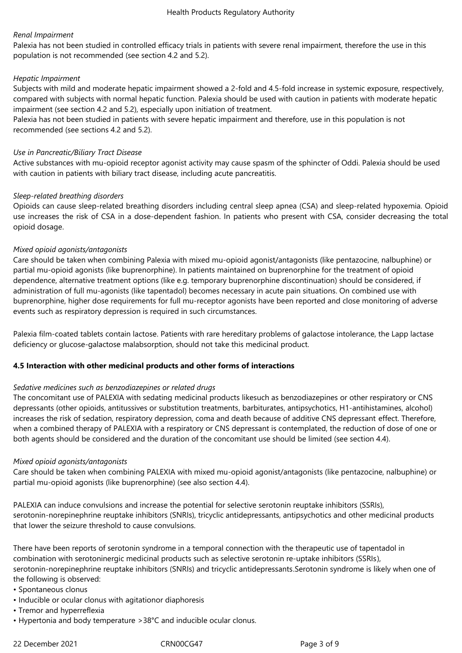# *Renal Impairment*

Palexia has not been studied in controlled efficacy trials in patients with severe renal impairment, therefore the use in this population is not recommended (see section 4.2 and 5.2).

## *Hepatic Impairment*

Subjects with mild and moderate hepatic impairment showed a 2-fold and 4.5-fold increase in systemic exposure, respectively, compared with subjects with normal hepatic function. Palexia should be used with caution in patients with moderate hepatic impairment (see section 4.2 and 5.2), especially upon initiation of treatment.

Palexia has not been studied in patients with severe hepatic impairment and therefore, use in this population is not recommended (see sections 4.2 and 5.2).

### *Use in Pancreatic/Biliary Tract Disease*

Active substances with mu-opioid receptor agonist activity may cause spasm of the sphincter of Oddi. Palexia should be used with caution in patients with biliary tract disease, including acute pancreatitis.

### *Sleep-related breathing disorders*

Opioids can cause sleep-related breathing disorders including central sleep apnea (CSA) and sleep-related hypoxemia. Opioid use increases the risk of CSA in a dose-dependent fashion. In patients who present with CSA, consider decreasing the total opioid dosage.

### *Mixed opioid agonists/antagonists*

Care should be taken when combining Palexia with mixed mu-opioid agonist/antagonists (like pentazocine, nalbuphine) or partial mu-opioid agonists (like buprenorphine). In patients maintained on buprenorphine for the treatment of opioid dependence, alternative treatment options (like e.g. temporary buprenorphine discontinuation) should be considered, if administration of full mu-agonists (like tapentadol) becomes necessary in acute pain situations. On combined use with buprenorphine, higher dose requirements for full mu-receptor agonists have been reported and close monitoring of adverse events such as respiratory depression is required in such circumstances.

Palexia film-coated tablets contain lactose. Patients with rare hereditary problems of galactose intolerance, the Lapp lactase deficiency or glucose-galactose malabsorption, should not take this medicinal product.

### **4.5 Interaction with other medicinal products and other forms of interactions**

### *Sedative medicines such as benzodiazepines or related drugs*

The concomitant use of PALEXIA with sedating medicinal products likesuch as benzodiazepines or other respiratory or CNS depressants (other opioids, antitussives or substitution treatments, barbiturates, antipsychotics, H1-antihistamines, alcohol) increases the risk of sedation, respiratory depression, coma and death because of additive CNS depressant effect. Therefore, when a combined therapy of PALEXIA with a respiratory or CNS depressant is contemplated, the reduction of dose of one or both agents should be considered and the duration of the concomitant use should be limited (see section 4.4).

### *Mixed opioid agonists/antagonists*

Care should be taken when combining PALEXIA with mixed mu-opioid agonist/antagonists (like pentazocine, nalbuphine) or partial mu-opioid agonists (like buprenorphine) (see also section 4.4).

PALEXIA can induce convulsions and increase the potential for selective serotonin reuptake inhibitors (SSRIs), serotonin-norepinephrine reuptake inhibitors (SNRIs), tricyclic antidepressants, antipsychotics and other medicinal products that lower the seizure threshold to cause convulsions.

There have been reports of serotonin syndrome in a temporal connection with the therapeutic use of tapentadol in combination with serotoninergic medicinal products such as selective serotonin re-uptake inhibitors (SSRIs), serotonin-norepinephrine reuptake inhibitors (SNRIs) and tricyclic antidepressants.Serotonin syndrome is likely when one of the following is observed:

- Spontaneous clonus
- Inducible or ocular clonus with agitationor diaphoresis
- Tremor and hyperreflexia
- Hypertonia and body temperature >38°C and inducible ocular clonus.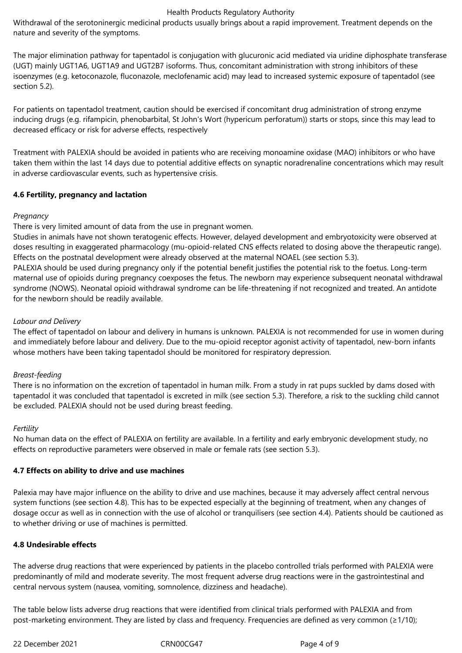Withdrawal of the serotoninergic medicinal products usually brings about a rapid improvement. Treatment depends on the nature and severity of the symptoms.

The major elimination pathway for tapentadol is conjugation with glucuronic acid mediated via uridine diphosphate transferase (UGT) mainly UGT1A6, UGT1A9 and UGT2B7 isoforms. Thus, concomitant administration with strong inhibitors of these isoenzymes (e.g. ketoconazole, fluconazole, meclofenamic acid) may lead to increased systemic exposure of tapentadol (see section 5.2).

For patients on tapentadol treatment, caution should be exercised if concomitant drug administration of strong enzyme inducing drugs (e.g. rifampicin, phenobarbital, St John's Wort (hypericum perforatum)) starts or stops, since this may lead to decreased efficacy or risk for adverse effects, respectively

Treatment with PALEXIA should be avoided in patients who are receiving monoamine oxidase (MAO) inhibitors or who have taken them within the last 14 days due to potential additive effects on synaptic noradrenaline concentrations which may result in adverse cardiovascular events, such as hypertensive crisis.

# **4.6 Fertility, pregnancy and lactation**

# *Pregnancy*

There is very limited amount of data from the use in pregnant women.

Studies in animals have not shown teratogenic effects. However, delayed development and embryotoxicity were observed at doses resulting in exaggerated pharmacology (mu-opioid-related CNS effects related to dosing above the therapeutic range). Effects on the postnatal development were already observed at the maternal NOAEL (see section 5.3).

PALEXIA should be used during pregnancy only if the potential benefit justifies the potential risk to the foetus. Long-term maternal use of opioids during pregnancy coexposes the fetus. The newborn may experience subsequent neonatal withdrawal syndrome (NOWS). Neonatal opioid withdrawal syndrome can be life-threatening if not recognized and treated. An antidote for the newborn should be readily available.

# *Labour and Delivery*

The effect of tapentadol on labour and delivery in humans is unknown. PALEXIA is not recommended for use in women during and immediately before labour and delivery. Due to the mu-opioid receptor agonist activity of tapentadol, new-born infants whose mothers have been taking tapentadol should be monitored for respiratory depression.

# *Breast-feeding*

There is no information on the excretion of tapentadol in human milk. From a study in rat pups suckled by dams dosed with tapentadol it was concluded that tapentadol is excreted in milk (see section 5.3). Therefore, a risk to the suckling child cannot be excluded. PALEXIA should not be used during breast feeding.

### *Fertility*

No human data on the effect of PALEXIA on fertility are available. In a fertility and early embryonic development study, no effects on reproductive parameters were observed in male or female rats (see section 5.3).

### **4.7 Effects on ability to drive and use machines**

Palexia may have major influence on the ability to drive and use machines, because it may adversely affect central nervous system functions (see section 4.8). This has to be expected especially at the beginning of treatment, when any changes of dosage occur as well as in connection with the use of alcohol or tranquilisers (see section 4.4). Patients should be cautioned as to whether driving or use of machines is permitted.

### **4.8 Undesirable effects**

The adverse drug reactions that were experienced by patients in the placebo controlled trials performed with PALEXIA were predominantly of mild and moderate severity. The most frequent adverse drug reactions were in the gastrointestinal and central nervous system (nausea, vomiting, somnolence, dizziness and headache).

The table below lists adverse drug reactions that were identified from clinical trials performed with PALEXIA and from post-marketing environment. They are listed by class and frequency. Frequencies are defined as very common (≥1/10);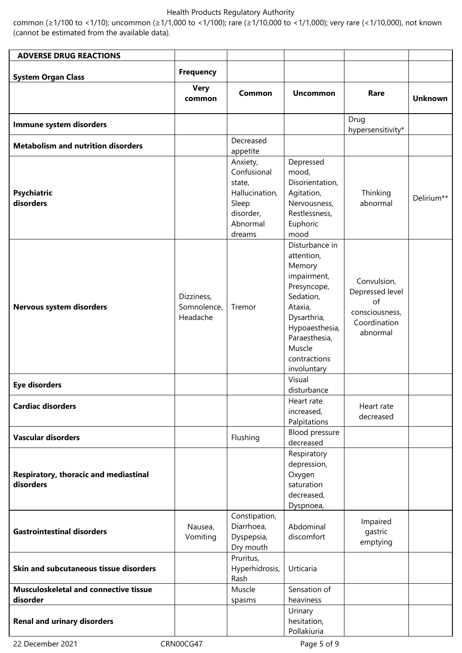common (≥1/100 to <1/10); uncommon (≥1/1,000 to <1/100); rare (≥1/10,000 to <1/1,000); very rare (<1/10,000), not known (cannot be estimated from the available data).

| <b>ADVERSE DRUG REACTIONS</b>                            |                                       |                                                                                                 |                                                                                                                                                                                         |                                                                                    |                |
|----------------------------------------------------------|---------------------------------------|-------------------------------------------------------------------------------------------------|-----------------------------------------------------------------------------------------------------------------------------------------------------------------------------------------|------------------------------------------------------------------------------------|----------------|
|                                                          | <b>Frequency</b>                      |                                                                                                 |                                                                                                                                                                                         |                                                                                    |                |
| <b>System Organ Class</b>                                |                                       |                                                                                                 |                                                                                                                                                                                         |                                                                                    |                |
|                                                          | <b>Very</b><br>common                 | <b>Common</b>                                                                                   | <b>Uncommon</b>                                                                                                                                                                         | Rare                                                                               | <b>Unknown</b> |
| Immune system disorders                                  |                                       |                                                                                                 |                                                                                                                                                                                         | Drug<br>hypersensitivity*                                                          |                |
| <b>Metabolism and nutrition disorders</b>                |                                       | Decreased                                                                                       |                                                                                                                                                                                         |                                                                                    |                |
|                                                          |                                       | appetite                                                                                        |                                                                                                                                                                                         |                                                                                    |                |
| <b>Psychiatric</b><br>disorders                          |                                       | Anxiety,<br>Confusional<br>state,<br>Hallucination,<br>Sleep<br>disorder,<br>Abnormal<br>dreams | Depressed<br>mood,<br>Disorientation,<br>Agitation,<br>Nervousness,<br>Restlessness,<br>Euphoric<br>mood                                                                                | Thinking<br>abnormal                                                               | Delirium**     |
| Nervous system disorders                                 | Dizziness,<br>Somnolence,<br>Headache | Tremor                                                                                          | Disturbance in<br>attention,<br>Memory<br>impairment,<br>Presyncope,<br>Sedation,<br>Ataxia,<br>Dysarthria,<br>Hypoaesthesia,<br>Paraesthesia,<br>Muscle<br>contractions<br>involuntary | Convulsion,<br>Depressed level<br>of<br>consciousness,<br>Coordination<br>abnormal |                |
| <b>Eye disorders</b>                                     |                                       |                                                                                                 | Visual<br>disturbance                                                                                                                                                                   |                                                                                    |                |
| <b>Cardiac disorders</b>                                 |                                       |                                                                                                 | Heart rate<br>increased,<br>Palpitations                                                                                                                                                | Heart rate<br>decreased                                                            |                |
| <b>Vascular disorders</b>                                |                                       | Flushing                                                                                        | Blood pressure<br>decreased                                                                                                                                                             |                                                                                    |                |
| Respiratory, thoracic and mediastinal<br>disorders       |                                       |                                                                                                 | Respiratory<br>depression,<br>Oxygen<br>saturation<br>decreased,<br>Dyspnoea,                                                                                                           |                                                                                    |                |
| <b>Gastrointestinal disorders</b>                        | Nausea,<br>Vomiting                   | Constipation,<br>Diarrhoea,<br>Dyspepsia,<br>Dry mouth                                          | Abdominal<br>discomfort                                                                                                                                                                 | Impaired<br>gastric<br>emptying                                                    |                |
| Skin and subcutaneous tissue disorders                   |                                       | Pruritus,<br>Hyperhidrosis,<br>Rash                                                             | Urticaria                                                                                                                                                                               |                                                                                    |                |
| <b>Musculoskeletal and connective tissue</b><br>disorder |                                       | Muscle<br>spasms                                                                                | Sensation of<br>heaviness                                                                                                                                                               |                                                                                    |                |
| <b>Renal and urinary disorders</b>                       |                                       |                                                                                                 | Urinary<br>hesitation,<br>Pollakiuria                                                                                                                                                   |                                                                                    |                |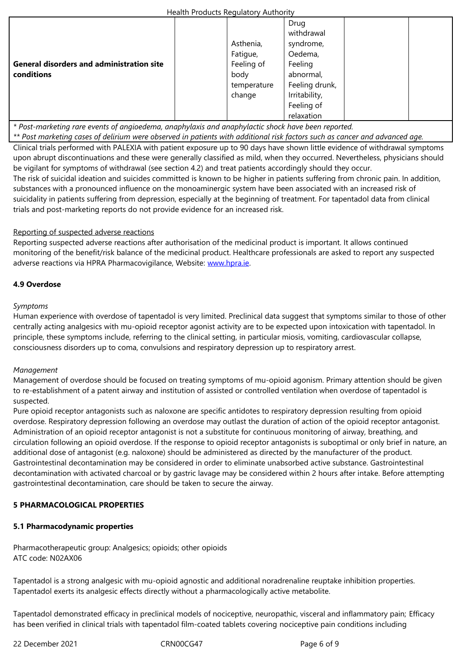|                                                  | Asthenia,   | syndrome,      |  |
|--------------------------------------------------|-------------|----------------|--|
|                                                  | Fatigue,    | Oedema,        |  |
| <b>General disorders and administration site</b> | Feeling of  | Feeling        |  |
| conditions                                       | body        | abnormal,      |  |
|                                                  | temperature | Feeling drunk, |  |
|                                                  | change      | Irritability,  |  |
|                                                  |             | Feeling of     |  |
|                                                  |             | relaxation     |  |

*\* Post-marketing rare events of angioedema, anaphylaxis and anaphylactic shock have been reported.*

*\*\* Post marketing cases of delirium were observed in patients with additional risk factors such as cancer and advanced age.* 

Clinical trials performed with PALEXIA with patient exposure up to 90 days have shown little evidence of withdrawal symptoms upon abrupt discontinuations and these were generally classified as mild, when they occurred. Nevertheless, physicians should be vigilant for symptoms of withdrawal (see section 4.2) and treat patients accordingly should they occur.

The risk of suicidal ideation and suicides committed is known to be higher in patients suffering from chronic pain. In addition, substances with a pronounced influence on the monoaminergic system have been associated with an increased risk of suicidality in patients suffering from depression, especially at the beginning of treatment. For tapentadol data from clinical trials and post-marketing reports do not provide evidence for an increased risk.

# Reporting of suspected adverse reactions

Reporting suspected adverse reactions after authorisation of the medicinal product is important. It allows continued monitoring of the benefit/risk balance of the medicinal product. Healthcare professionals are asked to report any suspected adverse reactions via HPRA Pharmacovigilance, Website: www.hpra.ie.

# **4.9 Overdose**

### *Symptoms*

Human experience with overdose of tapentadol is very limited. Preclinical data suggest that symptoms similar to those of other centrally acting analgesics with mu-opioid receptor agonist activity are to be expected upon intoxication with tapentadol. In principle, these symptoms include, referring to the clinical setting, in particular miosis, vomiting, cardiovascular collapse, consciousness disorders up to coma, convulsions and respiratory depression up to respiratory arrest.

### *Management*

Management of overdose should be focused on treating symptoms of mu-opioid agonism. Primary attention should be given to re-establishment of a patent airway and institution of assisted or controlled ventilation when overdose of tapentadol is suspected.

Pure opioid receptor antagonists such as naloxone are specific antidotes to respiratory depression resulting from opioid overdose. Respiratory depression following an overdose may outlast the duration of action of the opioid receptor antagonist. Administration of an opioid receptor antagonist is not a substitute for continuous monitoring of airway, breathing, and circulation following an opioid overdose. If the response to opioid receptor antagonists is suboptimal or only brief in nature, an additional dose of antagonist (e.g. naloxone) should be administered as directed by the manufacturer of the product. Gastrointestinal decontamination may be considered in order to eliminate unabsorbed active substance. Gastrointestinal decontamination with activated charcoal or by gastric lavage may be considered within 2 hours after intake. Before attempting gastrointestinal decontamination, care should be taken to secure the airway.

### **5 PHARMACOLOGICAL PROPERTIES**

# **5.1 Pharmacodynamic properties**

Pharmacotherapeutic group: Analgesics; opioids; other opioids ATC code: N02AX06

Tapentadol is a strong analgesic with mu-opioid agnostic and additional noradrenaline reuptake inhibition properties. Tapentadol exerts its analgesic effects directly without a pharmacologically active metabolite.

Tapentadol demonstrated efficacy in preclinical models of nociceptive, neuropathic, visceral and inflammatory pain; Efficacy has been verified in clinical trials with tapentadol film-coated tablets covering nociceptive pain conditions including

22 December 2021 CRN00CG47 Page 6 of 9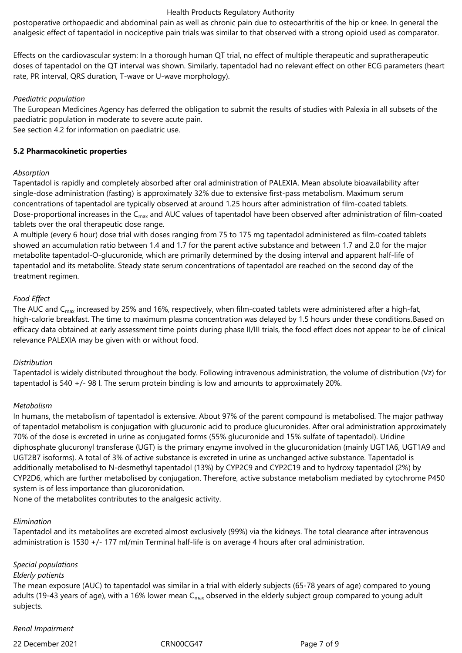postoperative orthopaedic and abdominal pain as well as chronic pain due to osteoarthritis of the hip or knee. In general the analgesic effect of tapentadol in nociceptive pain trials was similar to that observed with a strong opioid used as comparator.

Effects on the cardiovascular system: In a thorough human QT trial, no effect of multiple therapeutic and supratherapeutic doses of tapentadol on the QT interval was shown. Similarly, tapentadol had no relevant effect on other ECG parameters (heart rate, PR interval, QRS duration, T-wave or U-wave morphology).

### *Paediatric population*

The European Medicines Agency has deferred the obligation to submit the results of studies with Palexia in all subsets of the paediatric population in moderate to severe acute pain.

See section 4.2 for information on paediatric use.

# **5.2 Pharmacokinetic properties**

# *Absorption*

Tapentadol is rapidly and completely absorbed after oral administration of PALEXIA. Mean absolute bioavailability after single-dose administration (fasting) is approximately 32% due to extensive first-pass metabolism. Maximum serum concentrations of tapentadol are typically observed at around 1.25 hours after administration of film-coated tablets. Dose-proportional increases in the C<sub>max</sub> and AUC values of tapentadol have been observed after administration of film-coated tablets over the oral therapeutic dose range.

A multiple (every 6 hour) dose trial with doses ranging from 75 to 175 mg tapentadol administered as film-coated tablets showed an accumulation ratio between 1.4 and 1.7 for the parent active substance and between 1.7 and 2.0 for the major metabolite tapentadol‑O-glucuronide, which are primarily determined by the dosing interval and apparent half-life of tapentadol and its metabolite. Steady state serum concentrations of tapentadol are reached on the second day of the treatment regimen.

# *Food Effect*

The AUC and C<sub>max</sub> increased by 25% and 16%, respectively, when film-coated tablets were administered after a high-fat, high-calorie breakfast. The time to maximum plasma concentration was delayed by 1.5 hours under these conditions.Based on efficacy data obtained at early assessment time points during phase II/III trials, the food effect does not appear to be of clinical relevance PALEXIA may be given with or without food.

# *Distribution*

Tapentadol is widely distributed throughout the body. Following intravenous administration, the volume of distribution (Vz) for tapentadol is 540 +/- 98 l. The serum protein binding is low and amounts to approximately 20%.

# *Metabolism*

In humans, the metabolism of tapentadol is extensive. About 97% of the parent compound is metabolised. The major pathway of tapentadol metabolism is conjugation with glucuronic acid to produce glucuronides. After oral administration approximately 70% of the dose is excreted in urine as conjugated forms (55% glucuronide and 15% sulfate of tapentadol). Uridine diphosphate glucuronyl transferase (UGT) is the primary enzyme involved in the glucuronidation (mainly UGT1A6, UGT1A9 and UGT2B7 isoforms). A total of 3% of active substance is excreted in urine as unchanged active substance. Tapentadol is additionally metabolised to N-desmethyl tapentadol (13%) by CYP2C9 and CYP2C19 and to hydroxy tapentadol (2%) by CYP2D6, which are further metabolised by conjugation. Therefore, active substance metabolism mediated by cytochrome P450 system is of less importance than glucoronidation.

None of the metabolites contributes to the analgesic activity.

### *Elimination*

Tapentadol and its metabolites are excreted almost exclusively (99%) via the kidneys. The total clearance after intravenous administration is 1530 +/- 177 ml/min Terminal half-life is on average 4 hours after oral administration.

# *Special populations*

### *Elderly patients*

The mean exposure (AUC) to tapentadol was similar in a trial with elderly subjects (65-78 years of age) compared to young adults (19-43 years of age), with a 16% lower mean  $C_{max}$  observed in the elderly subject group compared to young adult subjects.

### *Renal Impairment*

22 December 2021 CRN00CG47 Page 7 of 9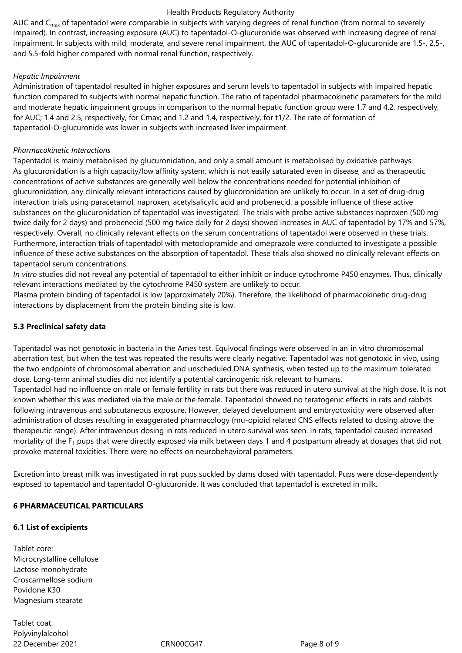AUC and  $C_{\text{max}}$  of tapentadol were comparable in subjects with varying degrees of renal function (from normal to severely impaired). In contrast, increasing exposure (AUC) to tapentadol-O-glucuronide was observed with increasing degree of renal impairment. In subjects with mild, moderate, and severe renal impairment, the AUC of tapentadol-O-glucuronide are 1.5-, 2.5-, and 5.5-fold higher compared with normal renal function, respectively.

### *Hepatic Impairment*

Administration of tapentadol resulted in higher exposures and serum levels to tapentadol in subjects with impaired hepatic function compared to subjects with normal hepatic function. The ratio of tapentadol pharmacokinetic parameters for the mild and moderate hepatic impairment groups in comparison to the normal hepatic function group were 1.7 and 4.2, respectively, for AUC; 1.4 and 2.5, respectively, for Cmax; and 1.2 and 1.4, respectively, for t1/2. The rate of formation of tapentadol-O-glucuronide was lower in subjects with increased liver impairment.

# *Pharmacokinetic Interactions*

Tapentadol is mainly metabolised by glucuronidation, and only a small amount is metabolised by oxidative pathways. As glucuronidation is a high capacity/low affinity system, which is not easily saturated even in disease, and as therapeutic concentrations of active substances are generally well below the concentrations needed for potential inhibition of glucuronidation, any clinically relevant interactions caused by glucoronidation are unlikely to occur. In a set of drug-drug interaction trials using paracetamol, naproxen, acetylsalicylic acid and probenecid, a possible influence of these active substances on the glucuronidation of tapentadol was investigated. The trials with probe active substances naproxen (500 mg twice daily for 2 days) and probenecid (500 mg twice daily for 2 days) showed increases in AUC of tapentadol by 17% and 57%, respectively. Overall, no clinically relevant effects on the serum concentrations of tapentadol were observed in these trials. Furthermore, interaction trials of tapentadol with metoclopramide and omeprazole were conducted to investigate a possible influence of these active substances on the absorption of tapentadol. These trials also showed no clinically relevant effects on tapentadol serum concentrations.

*In vitro* studies did not reveal any potential of tapentadol to either inhibit or induce cytochrome P450 enzymes. Thus, clinically relevant interactions mediated by the cytochrome P450 system are unlikely to occur.

Plasma protein binding of tapentadol is low (approximately 20%). Therefore, the likelihood of pharmacokinetic drug-drug interactions by displacement from the protein binding site is low.

# **5.3 Preclinical safety data**

Tapentadol was not genotoxic in bacteria in the Ames test. Equivocal findings were observed in an in vitro chromosomal aberration test, but when the test was repeated the results were clearly negative. Tapentadol was not genotoxic in vivo, using the two endpoints of chromosomal aberration and unscheduled DNA synthesis, when tested up to the maximum tolerated dose. Long-term animal studies did not identify a potential carcinogenic risk relevant to humans.

Tapentadol had no influence on male or female fertility in rats but there was reduced in utero survival at the high dose. It is not known whether this was mediated via the male or the female. Tapentadol showed no teratogenic effects in rats and rabbits following intravenous and subcutaneous exposure. However, delayed development and embryotoxicity were observed after administration of doses resulting in exaggerated pharmacology (mu-opioid related CNS effects related to dosing above the therapeutic range). After intravenous dosing in rats reduced in utero survival was seen. In rats, tapentadol caused increased mortality of the  $F_1$  pups that were directly exposed via milk between days 1 and 4 postpartum already at dosages that did not provoke maternal toxicities. There were no effects on neurobehavioral parameters.

Excretion into breast milk was investigated in rat pups suckled by dams dosed with tapentadol. Pups were dose-dependently exposed to tapentadol and tapentadol O-glucuronide. It was concluded that tapentadol is excreted in milk.

### **6 PHARMACEUTICAL PARTICULARS**

### **6.1 List of excipients**

Tablet core: Microcrystalline cellulose Lactose monohydrate Croscarmellose sodium Povidone K30 Magnesium stearate

22 December 2021 CRN00CG47 Page 8 of 9 Tablet coat: Polyvinylalcohol